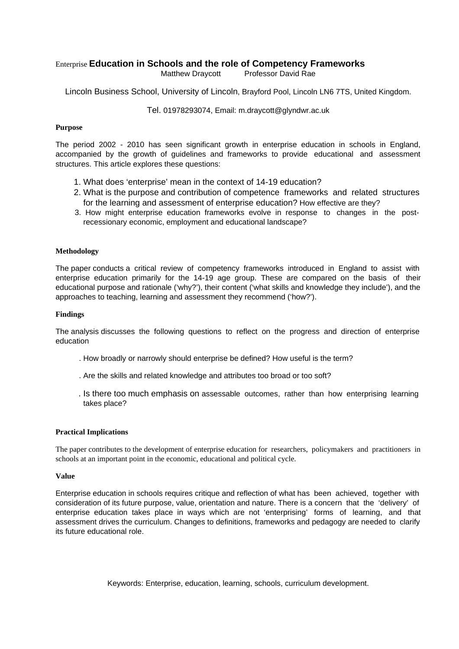## Enterprise **Education in Schools and the role of Competency Frameworks**

Matthew Draycott Professor David Rae

Lincoln Business School, University of Lincoln, Brayford Pool, Lincoln LN6 7TS, United Kingdom.

Tel. 01978293074, Email: m.draycott@glyndwr.ac.uk

### **Purpose**

The period 2002 - 2010 has seen significant growth in enterprise education in schools in England, accompanied by the growth of guidelines and frameworks to provide educational and assessment structures. This article explores these questions:

- 1. What does 'enterprise' mean in the context of 14-19 education?
- 2. What is the purpose and contribution of competence frameworks and related structures for the learning and assessment of enterprise education? How effective are they?
- 3. How might enterprise education frameworks evolve in response to changes in the postrecessionary economic, employment and educational landscape?

### **Methodology**

The paper conducts a critical review of competency frameworks introduced in England to assist with enterprise education primarily for the 14-19 age group. These are compared on the basis of their educational purpose and rationale ('why?'), their content ('what skills and knowledge they include'), and the approaches to teaching, learning and assessment they recommend ('how?').

### **Findings**

The analysis discusses the following questions to reflect on the progress and direction of enterprise education

- . How broadly or narrowly should enterprise be defined? How useful is the term?
- . Are the skills and related knowledge and attributes too broad or too soft?
- . Is there too much emphasis on assessable outcomes, rather than how enterprising learning takes place?

#### **Practical Implications**

The paper contributes to the development of enterprise education for researchers, policymakers and practitioners in schools at an important point in the economic, educational and political cycle.

#### **Value**

Enterprise education in schools requires critique and reflection of what has been achieved, together with consideration of its future purpose, value, orientation and nature. There is a concern that the 'delivery' of enterprise education takes place in ways which are not 'enterprising' forms of learning, and that assessment drives the curriculum. Changes to definitions, frameworks and pedagogy are needed to clarify its future educational role.

Keywords: Enterprise, education, learning, schools, curriculum development.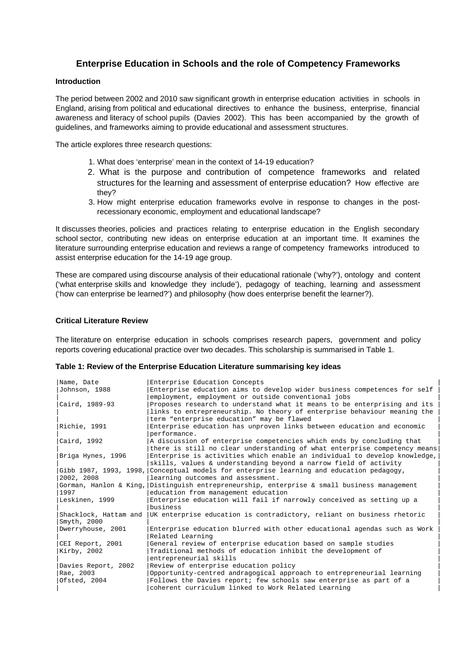# **Enterprise Education in Schools and the role of Competency Frameworks**

### **Introduction**

The period between 2002 and 2010 saw significant growth in enterprise education activities in schools in England, arising from political and educational directives to enhance the business, enterprise, financial awareness and literacy of school pupils (Davies 2002). This has been accompanied by the growth of guidelines, and frameworks aiming to provide educational and assessment structures.

The article explores three research questions:

- 1. What does 'enterprise' mean in the context of 14-19 education?
- 2. What is the purpose and contribution of competence frameworks and related structures for the learning and assessment of enterprise education? How effective are they?
- 3. How might enterprise education frameworks evolve in response to changes in the postrecessionary economic, employment and educational landscape?

It discusses theories, policies and practices relating to enterprise education in the English secondary school sector, contributing new ideas on enterprise education at an important time. It examines the literature surrounding enterprise education and reviews a range of competency frameworks introduced to assist enterprise education for the 14-19 age group.

These are compared using discourse analysis of their educational rationale ('why?'), ontology and content ('what enterprise skills and knowledge they include'), pedagogy of teaching, learning and assessment ('how can enterprise be learned?') and philosophy (how does enterprise benefit the learner?).

#### **Critical Literature Review**

The literature on enterprise education in schools comprises research papers, government and policy reports covering educational practice over two decades. This scholarship is summarised in Table 1.

#### **Table 1: Review of the Enterprise Education Literature summarising key ideas**

| Name, Date                       | Enterprise Education Concepts                                                                                  |
|----------------------------------|----------------------------------------------------------------------------------------------------------------|
| Johnson, 1988                    | Enterprise education aims to develop wider business competences for self                                       |
|                                  | employment, employment or outside conventional jobs                                                            |
| Caird, 1989-93                   | Proposes research to understand what it means to be enterprising and its                                       |
|                                  | links to entrepreneurship. No theory of enterprise behaviour meaning the                                       |
|                                  | term "enterprise education" may be flawed                                                                      |
| Richie, 1991)                    | Enterprise education has unproven links between education and economic                                         |
|                                  | performance.                                                                                                   |
| Caird, 1992                      | A discussion of enterprise competencies which ends by concluding that                                          |
|                                  | there is still no clear understanding of what enterprise competency means                                      |
| Briga Hynes, 1996                | Enterprise is activities which enable an individual to develop knowledge,                                      |
|                                  | skills, values & understanding beyond a narrow field of activity                                               |
|                                  | Gibb 1987, 1993, 1998, Conceptual models for enterprise learning and education pedagogy,                       |
| 2002, 2008                       | learning outcomes and assessment.                                                                              |
|                                  | Gorman, Hanlon & King, Distinguish entrepreneurship, enterprise & small business management                    |
| 1997                             | education from management education                                                                            |
| Leskinen, 1999                   | Enterprise education will fail if narrowly conceived as setting up a                                           |
|                                  | business                                                                                                       |
| Shacklock, Hattam and            | UK enterprise education is contradictory, reliant on business rhetoric                                         |
| Smyth, 2000                      |                                                                                                                |
| Dwerryhouse, 2001                | Enterprise education blurred with other educational agendas such as Work                                       |
|                                  | Related Learning                                                                                               |
| CEI Report, 2001                 | General review of enterprise education based on sample studies                                                 |
| Kirby, 2002                      | Traditional methods of education inhibit the development of<br>entrepreneurial skills                          |
|                                  |                                                                                                                |
| Davies Report, 2002<br>Rae, 2003 | Review of enterprise education policy<br>Opportunity-centred andragogical approach to entrepreneurial learning |
| Ofsted, 2004                     | Follows the Davies report; few schools saw enterprise as part of a                                             |
|                                  | coherent curriculum linked to Work Related Learning                                                            |
|                                  |                                                                                                                |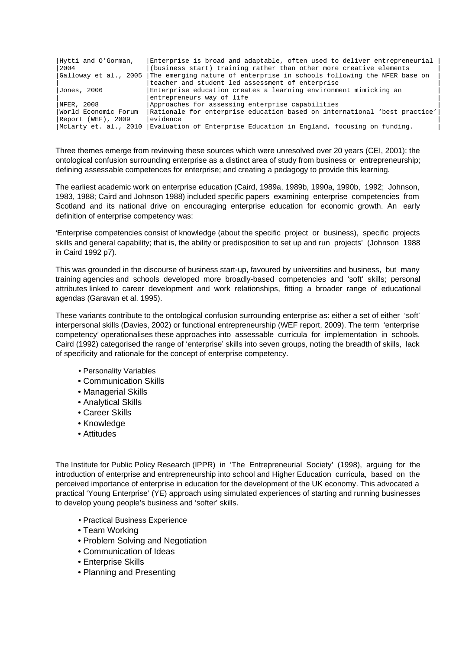| Hytti and O'Gorman,   | Enterprise is broad and adaptable, often used to deliver entrepreneurial                      |  |
|-----------------------|-----------------------------------------------------------------------------------------------|--|
| $12004$               | (business start) training rather than other more creative elements                            |  |
|                       | Galloway et al., 2005 The emerging nature of enterprise in schools following the NFER base on |  |
|                       | teacher and student led assessment of enterprise                                              |  |
| Jones, 2006           | Enterprise education creates a learning environment mimicking an                              |  |
|                       | entrepreneurs way of life                                                                     |  |
| NFER, 2008            | Approaches for assessing enterprise capabilities                                              |  |
| World Economic Forum  | Rationale for enterprise education based on international 'best practice'                     |  |
| Report (WEF), 2009    | evidence                                                                                      |  |
| McLarty et. al., 2010 | Evaluation of Enterprise Education in England, focusing on funding.                           |  |

Three themes emerge from reviewing these sources which were unresolved over 20 years (CEI, 2001): the ontological confusion surrounding enterprise as a distinct area of study from business or entrepreneurship; defining assessable competences for enterprise; and creating a pedagogy to provide this learning.

The earliest academic work on enterprise education (Caird, 1989a, 1989b, 1990a, 1990b, 1992; Johnson, 1983, 1988; Caird and Johnson 1988) included specific papers examining enterprise competencies from Scotland and its national drive on encouraging enterprise education for economic growth. An early definition of enterprise competency was:

'Enterprise competencies consist of knowledge (about the specific project or business), specific projects skills and general capability; that is, the ability or predisposition to set up and run projects' (Johnson 1988 in Caird 1992 p7).

This was grounded in the discourse of business start-up, favoured by universities and business, but many training agencies and schools developed more broadly-based competencies and 'soft' skills; personal attributes linked to career development and work relationships, fitting a broader range of educational agendas (Garavan et al. 1995).

These variants contribute to the ontological confusion surrounding enterprise as: either a set of either 'soft' interpersonal skills (Davies, 2002) or functional entrepreneurship (WEF report, 2009). The term 'enterprise competency' operationalises these approaches into assessable curricula for implementation in schools. Caird (1992) categorised the range of 'enterprise' skills into seven groups, noting the breadth of skills, lack of specificity and rationale for the concept of enterprise competency.

- Personality Variables
- Communication Skills
- Managerial Skills
- Analytical Skills
- Career Skills
- Knowledge
- Attitudes

The Institute for Public Policy Research (IPPR) in 'The Entrepreneurial Society' (1998), arguing for the introduction of enterprise and entrepreneurship into school and Higher Education curricula, based on the perceived importance of enterprise in education for the development of the UK economy. This advocated a practical 'Young Enterprise' (YE) approach using simulated experiences of starting and running businesses to develop young people's business and 'softer' skills.

- Practical Business Experience
- Team Working
- Problem Solving and Negotiation
- Communication of Ideas
- Enterprise Skills
- Planning and Presenting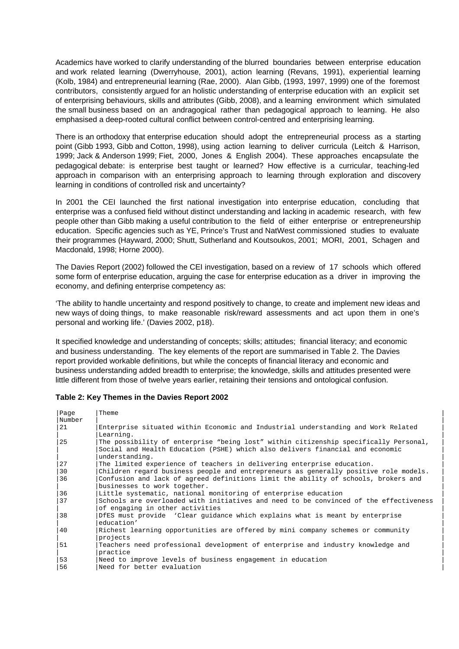Academics have worked to clarify understanding of the blurred boundaries between enterprise education and work related learning (Dwerryhouse, 2001), action learning (Revans, 1991), experiential learning (Kolb, 1984) and entrepreneurial learning (Rae, 2000). Alan Gibb, (1993, 1997, 1999) one of the foremost contributors, consistently argued for an holistic understanding of enterprise education with an explicit set of enterprising behaviours, skills and attributes (Gibb, 2008), and a learning environment which simulated the small business based on an andragogical rather than pedagogical approach to learning. He also emphasised a deep-rooted cultural conflict between control-centred and enterprising learning.

There is an orthodoxy that enterprise education should adopt the entrepreneurial process as a starting point (Gibb 1993, Gibb and Cotton, 1998), using action learning to deliver curricula (Leitch & Harrison, 1999; Jack & Anderson 1999; Fiet, 2000, Jones & English 2004). These approaches encapsulate the pedagogical debate: is enterprise best taught or learned? How effective is a curricular, teaching-led approach in comparison with an enterprising approach to learning through exploration and discovery learning in conditions of controlled risk and uncertainty?

In 2001 the CEI launched the first national investigation into enterprise education, concluding that enterprise was a confused field without distinct understanding and lacking in academic research, with few people other than Gibb making a useful contribution to the field of either enterprise or entrepreneurship education. Specific agencies such as YE, Prince's Trust and NatWest commissioned studies to evaluate their programmes (Hayward, 2000; Shutt, Sutherland and Koutsoukos, 2001; MORI, 2001, Schagen and Macdonald, 1998; Horne 2000).

The Davies Report (2002) followed the CEI investigation, based on a review of 17 schools which offered some form of enterprise education, arguing the case for enterprise education as a driver in improving the economy, and defining enterprise competency as:

'The ability to handle uncertainty and respond positively to change, to create and implement new ideas and new ways of doing things, to make reasonable risk/reward assessments and act upon them in one's personal and working life.' (Davies 2002, p18).

It specified knowledge and understanding of concepts; skills; attitudes; financial literacy; and economic and business understanding. The key elements of the report are summarised in Table 2. The Davies report provided workable definitions, but while the concepts of financial literacy and economic and business understanding added breadth to enterprise; the knowledge, skills and attitudes presented were little different from those of twelve years earlier, retaining their tensions and ontological confusion.

#### **Table 2: Key Themes in the Davies Report 2002**

| Page                                     | Theme                                                                                 |
|------------------------------------------|---------------------------------------------------------------------------------------|
| Number                                   |                                                                                       |
| 21                                       | Enterprise situated within Economic and Industrial understanding and Work Related     |
|                                          | Learning.                                                                             |
| 25                                       | The possibility of enterprise "being lost" within citizenship specifically Personal,  |
|                                          | Social and Health Education (PSHE) which also delivers financial and economic         |
|                                          | understanding.                                                                        |
| 27                                       | The limited experience of teachers in delivering enterprise education.                |
| $\begin{array}{c} 30 \\ -30 \end{array}$ | Children regard business people and entrepreneurs as generally positive role models.  |
| 36                                       | Confusion and lack of agreed definitions limit the ability of schools, brokers and    |
|                                          | businesses to work together.                                                          |
| 36                                       | Little systematic, national monitoring of enterprise education                        |
| 37                                       | Schools are overloaded with initiatives and need to be convinced of the effectiveness |
|                                          | of engaging in other activities                                                       |
| 38                                       | DfES must provide 'Clear quidance which explains what is meant by enterprise          |
|                                          | education'                                                                            |
| 40                                       | Richest learning opportunities are offered by mini company schemes or community       |
|                                          | projects                                                                              |
| 51                                       | Teachers need professional development of enterprise and industry knowledge and       |
|                                          | practice                                                                              |
| 53                                       | Need to improve levels of business engagement in education                            |
| 56                                       | Need for better evaluation                                                            |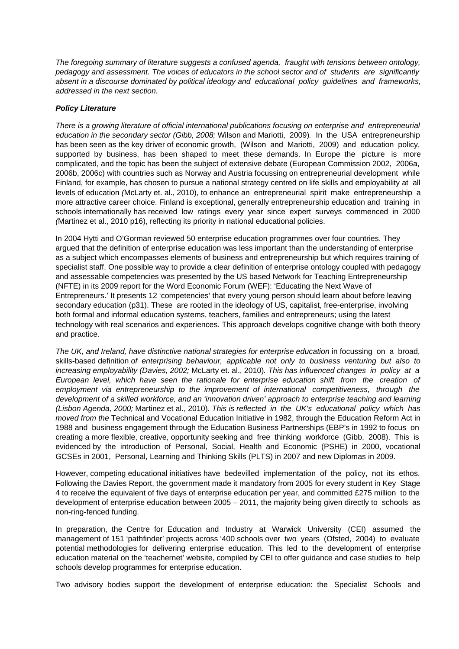The foregoing summary of literature suggests a confused agenda, fraught with tensions between ontology, pedagogy and assessment. The voices of educators in the school sector and of students are significantly absent in a discourse dominated by political ideology and educational policy guidelines and frameworks, addressed in the next section.

### **Policy Literature**

There is a growing literature of official international publications focusing on enterprise and entrepreneurial education in the secondary sector (Gibb, 2008; Wilson and Mariotti, 2009). In the USA entrepreneurship has been seen as the key driver of economic growth, (Wilson and Mariotti, 2009) and education policy, supported by business, has been shaped to meet these demands. In Europe the picture is more complicated, and the topic has been the subject of extensive debate (European Commission 2002, 2006a, 2006b, 2006c) with countries such as Norway and Austria focussing on entrepreneurial development while Finland, for example, has chosen to pursue a national strategy centred on life skills and employability at all levels of education (McLarty et. al., 2010), to enhance an entrepreneurial spirit make entrepreneurship a more attractive career choice. Finland is exceptional, generally entrepreneurship education and training in schools internationally has received low ratings every year since expert surveys commenced in 2000 (Martinez et al., 2010 p16), reflecting its priority in national educational policies.

In 2004 Hytti and O'Gorman reviewed 50 enterprise education programmes over four countries. They argued that the definition of enterprise education was less important than the understanding of enterprise as a subject which encompasses elements of business and entrepreneurship but which requires training of specialist staff. One possible way to provide a clear definition of enterprise ontology coupled with pedagogy and assessable competencies was presented by the US based Network for Teaching Entrepreneurship (NFTE) in its 2009 report for the Word Economic Forum (WEF): 'Educating the Next Wave of Entrepreneurs.' It presents 12 'competencies' that every young person should learn about before leaving secondary education (p31). These are rooted in the ideology of US, capitalist, free-enterprise, involving both formal and informal education systems, teachers, families and entrepreneurs; using the latest technology with real scenarios and experiences. This approach develops cognitive change with both theory and practice.

The UK, and Ireland, have distinctive national strategies for enterprise education in focussing on a broad, skills-based definition of enterprising behaviour, applicable not only to business venturing but also to increasing employability (Davies, 2002; McLarty et. al., 2010). This has influenced changes in policy at a European level, which have seen the rationale for enterprise education shift from the creation of employment via entrepreneurship to the improvement of international competitiveness, through the development of a skilled workforce, and an 'innovation driven' approach to enterprise teaching and learning (Lisbon Agenda, 2000; Martinez et al., 2010). This is reflected in the UK's educational policy which has moved from the Technical and Vocational Education Initiative in 1982, through the Education Reform Act in 1988 and business engagement through the Education Business Partnerships (EBP's in 1992 to focus on creating a more flexible, creative, opportunity seeking and free thinking workforce (Gibb, 2008). This is evidenced by the introduction of Personal, Social, Health and Economic (PSHE) in 2000, vocational GCSEs in 2001, Personal, Learning and Thinking Skills (PLTS) in 2007 and new Diplomas in 2009.

However, competing educational initiatives have bedevilled implementation of the policy, not its ethos. Following the Davies Report, the government made it mandatory from 2005 for every student in Key Stage 4 to receive the equivalent of five days of enterprise education per year, and committed £275 million to the development of enterprise education between 2005 – 2011, the majority being given directly to schools as non-ring-fenced funding.

In preparation, the Centre for Education and Industry at Warwick University (CEI) assumed the management of 151 'pathfinder' projects across '400 schools over two years (Ofsted, 2004) to evaluate potential methodologies for delivering enterprise education. This led to the development of enterprise education material on the 'teachernet' website, compiled by CEI to offer guidance and case studies to help schools develop programmes for enterprise education.

Two advisory bodies support the development of enterprise education: the Specialist Schools and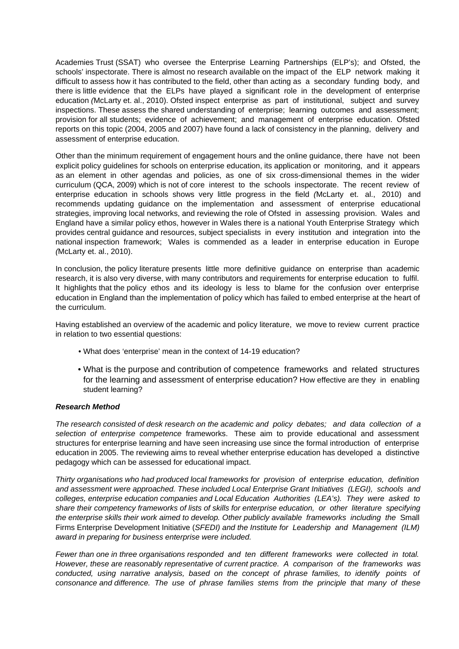Academies Trust (SSAT) who oversee the Enterprise Learning Partnerships (ELP's); and Ofsted, the schools' inspectorate. There is almost no research available on the impact of the ELP network making it difficult to assess how it has contributed to the field, other than acting as a secondary funding body, and there is little evidence that the ELPs have played a significant role in the development of enterprise education (McLarty et. al., 2010). Ofsted inspect enterprise as part of institutional, subject and survey inspections. These assess the shared understanding of enterprise; learning outcomes and assessment; provision for all students; evidence of achievement; and management of enterprise education. Ofsted reports on this topic (2004, 2005 and 2007) have found a lack of consistency in the planning, delivery and assessment of enterprise education.

Other than the minimum requirement of engagement hours and the online guidance, there have not been explicit policy guidelines for schools on enterprise education, its application or monitoring, and it appears as an element in other agendas and policies, as one of six cross-dimensional themes in the wider curriculum (QCA, 2009) which is not of core interest to the schools inspectorate. The recent review of enterprise education in schools shows very little progress in the field (McLarty et. al., 2010) and recommends updating guidance on the implementation and assessment of enterprise educational strategies, improving local networks, and reviewing the role of Ofsted in assessing provision. Wales and England have a similar policy ethos, however in Wales there is a national Youth Enterprise Strategy which provides central guidance and resources, subject specialists in every institution and integration into the national inspection framework; Wales is commended as a leader in enterprise education in Europe (McLarty et. al., 2010).

In conclusion, the policy literature presents little more definitive guidance on enterprise than academic research, it is also very diverse, with many contributors and requirements for enterprise education to fulfil. It highlights that the policy ethos and its ideology is less to blame for the confusion over enterprise education in England than the implementation of policy which has failed to embed enterprise at the heart of the curriculum.

Having established an overview of the academic and policy literature, we move to review current practice in relation to two essential questions:

- What does 'enterprise' mean in the context of 14-19 education?
- What is the purpose and contribution of competence frameworks and related structures for the learning and assessment of enterprise education? How effective are they in enabling student learning?

#### **Research Method**

The research consisted of desk research on the academic and policy debates; and data collection of a selection of enterprise competence frameworks. These aim to provide educational and assessment structures for enterprise learning and have seen increasing use since the formal introduction of enterprise education in 2005. The reviewing aims to reveal whether enterprise education has developed a distinctive pedagogy which can be assessed for educational impact.

Thirty organisations who had produced local frameworks for provision of enterprise education, definition and assessment were approached. These included Local Enterprise Grant Initiatives (LEGI), schools and colleges, enterprise education companies and Local Education Authorities (LEA's). They were asked to share their competency frameworks of lists of skills for enterprise education, or other literature specifying the enterprise skills their work aimed to develop. Other publicly available frameworks including the Small Firms Enterprise Development Initiative (SFEDI) and the Institute for Leadership and Management (ILM) award in preparing for business enterprise were included.

Fewer than one in three organisations responded and ten different frameworks were collected in total. However, these are reasonably representative of current practice. A comparison of the frameworks was conducted, using narrative analysis, based on the concept of phrase families, to identify points of consonance and difference. The use of phrase families stems from the principle that many of these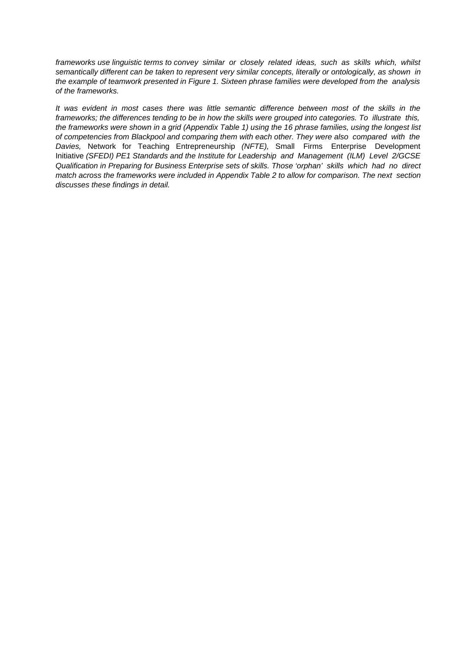frameworks use linguistic terms to convey similar or closely related ideas, such as skills which, whilst semantically different can be taken to represent very similar concepts, literally or ontologically, as shown in the example of teamwork presented in Figure 1. Sixteen phrase families were developed from the analysis of the frameworks.

It was evident in most cases there was little semantic difference between most of the skills in the frameworks; the differences tending to be in how the skills were grouped into categories. To illustrate this, the frameworks were shown in a grid (Appendix Table 1) using the 16 phrase families, using the longest list of competencies from Blackpool and comparing them with each other. They were also compared with the Davies, Network for Teaching Entrepreneurship (NFTE), Small Firms Enterprise Development Initiative (SFEDI) PE1 Standards and the Institute for Leadership and Management (ILM) Level 2/GCSE Qualification in Preparing for Business Enterprise sets of skills. Those 'orphan' skills which had no direct match across the frameworks were included in Appendix Table 2 to allow for comparison. The next section discusses these findings in detail.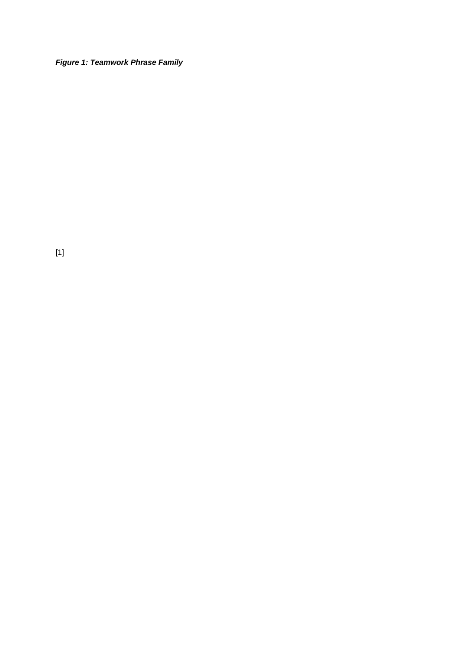**Figure 1: Teamwork Phrase Family**

[1]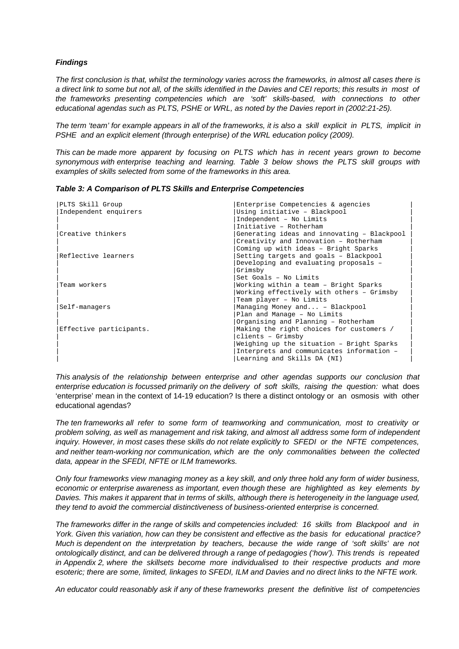### **Findings**

The first conclusion is that, whilst the terminology varies across the frameworks, in almost all cases there is a direct link to some but not all, of the skills identified in the Davies and CEI reports; this results in most of the frameworks presenting competencies which are 'soft' skills-based, with connections to other educational agendas such as PLTS, PSHE or WRL, as noted by the Davies report in (2002:21-25).

The term 'team' for example appears in all of the frameworks, it is also a skill explicit in PLTS, implicit in PSHE and an explicit element (through enterprise) of the WRL education policy (2009).

This can be made more apparent by focusing on PLTS which has in recent years grown to become synonymous with enterprise teaching and learning. Table 3 below shows the PLTS skill groups with examples of skills selected from some of the frameworks in this area.

| Table 3: A Comparison of PLTS Skills and Enterprise Competencies |  |
|------------------------------------------------------------------|--|
|                                                                  |  |

| Using initiative - Blackpool<br>Independent enquirers<br>Independent - No Limits<br>Initiative - Rotherham<br>Creative thinkers<br>Generating ideas and innovating - Blackpool<br>Creativity and Innovation - Rotherham<br>Coming up with ideas - Bright Sparks<br>Reflective learners<br>Setting targets and goals - Blackpool<br>Developing and evaluating proposals -<br>Grimsby<br>Set Goals - No Limits<br>Team workers<br>Working within a team - Bright Sparks<br>Working effectively with others - Grimsby<br>Team player - No Limits<br>Managing Money and - Blackpool<br>Self-managers |
|--------------------------------------------------------------------------------------------------------------------------------------------------------------------------------------------------------------------------------------------------------------------------------------------------------------------------------------------------------------------------------------------------------------------------------------------------------------------------------------------------------------------------------------------------------------------------------------------------|
|                                                                                                                                                                                                                                                                                                                                                                                                                                                                                                                                                                                                  |
|                                                                                                                                                                                                                                                                                                                                                                                                                                                                                                                                                                                                  |
|                                                                                                                                                                                                                                                                                                                                                                                                                                                                                                                                                                                                  |
|                                                                                                                                                                                                                                                                                                                                                                                                                                                                                                                                                                                                  |
|                                                                                                                                                                                                                                                                                                                                                                                                                                                                                                                                                                                                  |
|                                                                                                                                                                                                                                                                                                                                                                                                                                                                                                                                                                                                  |
|                                                                                                                                                                                                                                                                                                                                                                                                                                                                                                                                                                                                  |
|                                                                                                                                                                                                                                                                                                                                                                                                                                                                                                                                                                                                  |
|                                                                                                                                                                                                                                                                                                                                                                                                                                                                                                                                                                                                  |
|                                                                                                                                                                                                                                                                                                                                                                                                                                                                                                                                                                                                  |
|                                                                                                                                                                                                                                                                                                                                                                                                                                                                                                                                                                                                  |
|                                                                                                                                                                                                                                                                                                                                                                                                                                                                                                                                                                                                  |
|                                                                                                                                                                                                                                                                                                                                                                                                                                                                                                                                                                                                  |
|                                                                                                                                                                                                                                                                                                                                                                                                                                                                                                                                                                                                  |
| Plan and Manage - No Limits                                                                                                                                                                                                                                                                                                                                                                                                                                                                                                                                                                      |
| Organising and Planning - Rotherham                                                                                                                                                                                                                                                                                                                                                                                                                                                                                                                                                              |
| Effective participants.<br>Making the right choices for customers /                                                                                                                                                                                                                                                                                                                                                                                                                                                                                                                              |
| clients - Grimsby                                                                                                                                                                                                                                                                                                                                                                                                                                                                                                                                                                                |
| Weighing up the situation - Bright Sparks                                                                                                                                                                                                                                                                                                                                                                                                                                                                                                                                                        |
| Interprets and communicates information -                                                                                                                                                                                                                                                                                                                                                                                                                                                                                                                                                        |
| Learning and Skills DA (NI)                                                                                                                                                                                                                                                                                                                                                                                                                                                                                                                                                                      |

This analysis of the relationship between enterprise and other agendas supports our conclusion that enterprise education is focussed primarily on the delivery of soft skills, raising the question: what does 'enterprise' mean in the context of 14-19 education? Is there a distinct ontology or an osmosis with other educational agendas?

The ten frameworks all refer to some form of teamworking and communication, most to creativity or problem solving, as well as management and risk taking, and almost all address some form of independent inquiry. However, in most cases these skills do not relate explicitly to SFEDI or the NFTE competences, and neither team-working nor communication, which are the only commonalities between the collected data, appear in the SFEDI, NFTE or ILM frameworks.

Only four frameworks view managing money as a key skill, and only three hold any form of wider business, economic or enterprise awareness as important, even though these are highlighted as key elements by Davies. This makes it apparent that in terms of skills, although there is heterogeneity in the language used, they tend to avoid the commercial distinctiveness of business-oriented enterprise is concerned.

The frameworks differ in the range of skills and competencies included: 16 skills from Blackpool and in York. Given this variation, how can they be consistent and effective as the basis for educational practice? Much is dependent on the interpretation by teachers, because the wide range of 'soft skills' are not ontologically distinct, and can be delivered through a range of pedagogies ('how'). This trends is repeated in Appendix 2, where the skillsets become more individualised to their respective products and more esoteric; there are some, limited, linkages to SFEDI, ILM and Davies and no direct links to the NFTE work.

An educator could reasonably ask if any of these frameworks present the definitive list of competencies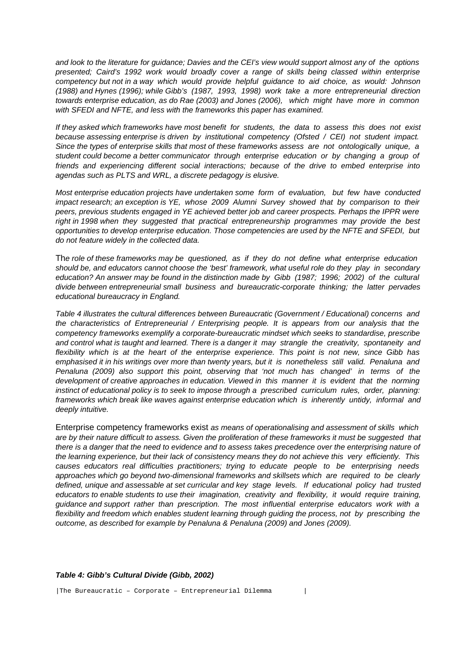and look to the literature for guidance; Davies and the CEI's view would support almost any of the options presented; Caird's 1992 work would broadly cover a range of skills being classed within enterprise competency but not in a way which would provide helpful guidance to aid choice, as would: Johnson (1988) and Hynes (1996); while Gibb's (1987, 1993, 1998) work take a more entrepreneurial direction towards enterprise education, as do Rae (2003) and Jones (2006), which might have more in common with SFEDI and NFTE, and less with the frameworks this paper has examined.

If they asked which frameworks have most benefit for students, the data to assess this does not exist because assessing enterprise is driven by institutional competency (Ofsted / CEI) not student impact. Since the types of enterprise skills that most of these frameworks assess are not ontologically unique, a student could become a better communicator through enterprise education or by changing a group of friends and experiencing different social interactions; because of the drive to embed enterprise into agendas such as PLTS and WRL, a discrete pedagogy is elusive.

Most enterprise education projects have undertaken some form of evaluation, but few have conducted impact research; an exception is YE, whose 2009 Alumni Survey showed that by comparison to their peers, previous students engaged in YE achieved better job and career prospects. Perhaps the IPPR were right in 1998 when they suggested that practical entrepreneurship programmes may provide the best opportunities to develop enterprise education. Those competencies are used by the NFTE and SFEDI, but do not feature widely in the collected data.

The role of these frameworks may be questioned, as if they do not define what enterprise education should be, and educators cannot choose the 'best' framework, what useful role do they play in secondary education? An answer may be found in the distinction made by Gibb (1987; 1996; 2002) of the cultural divide between entrepreneurial small business and bureaucratic-corporate thinking; the latter pervades educational bureaucracy in England.

Table 4 illustrates the cultural differences between Bureaucratic (Government / Educational) concerns and the characteristics of Entrepreneurial / Enterprising people. It is appears from our analysis that the competency frameworks exemplify a corporate-bureaucratic mindset which seeks to standardise, prescribe and control what is taught and learned. There is a danger it may strangle the creativity, spontaneity and flexibility which is at the heart of the enterprise experience. This point is not new, since Gibb has emphasised it in his writings over more than twenty years, but it is nonetheless still valid. Penaluna and Penaluna (2009) also support this point, observing that 'not much has changed' in terms of the development of creative approaches in education. Viewed in this manner it is evident that the norming instinct of educational policy is to seek to impose through a prescribed curriculum rules, order, planning: frameworks which break like waves against enterprise education which is inherently untidy, informal and deeply intuitive.

Enterprise competency frameworks exist as means of operationalising and assessment of skills which are by their nature difficult to assess. Given the proliferation of these frameworks it must be suggested that there is a danger that the need to evidence and to assess takes precedence over the enterprising nature of the learning experience, but their lack of consistency means they do not achieve this very efficiently. This causes educators real difficulties practitioners; trying to educate people to be enterprising needs approaches which go beyond two-dimensional frameworks and skillsets which are required to be clearly defined, unique and assessable at set curricular and key stage levels. If educational policy had trusted educators to enable students to use their imagination, creativity and flexibility, it would require training, guidance and support rather than prescription. The most influential enterprise educators work with a flexibility and freedom which enables student learning through guiding the process, not by prescribing the outcome, as described for example by Penaluna & Penaluna (2009) and Jones (2009).

#### **Table 4: Gibb's Cultural Divide (Gibb, 2002)**

|The Bureaucratic – Corporate – Entrepreneurial Dilemma |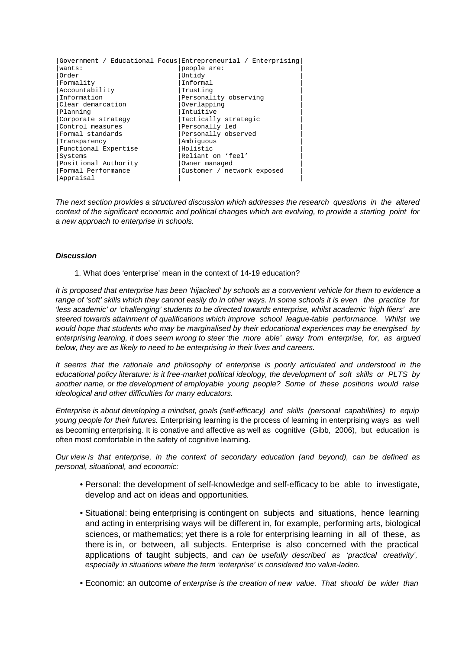|                      | Government / Educational Focus Entrepreneurial / Enterprising |
|----------------------|---------------------------------------------------------------|
| wants:               | people are:                                                   |
| Order                | Untidy                                                        |
| Formality            | Informal                                                      |
| Accountability       | Trusting                                                      |
| Information          | Personality observing                                         |
| Clear demarcation    | Overlapping                                                   |
| Planning             | Intuitive                                                     |
| Corporate strategy   | Tactically strategic                                          |
| Control measures     | Personally led                                                |
| Formal standards     | Personally observed                                           |
| Transparency         | Ambiquous                                                     |
| Functional Expertise | Holistic                                                      |
| Systems              | Reliant on 'feel'                                             |
| Positional Authority | Owner managed                                                 |
| Formal Performance   | Customer / network exposed                                    |
| Appraisal            |                                                               |

The next section provides a structured discussion which addresses the research questions in the altered context of the significant economic and political changes which are evolving, to provide a starting point for a new approach to enterprise in schools.

### **Discussion**

1. What does 'enterprise' mean in the context of 14-19 education?

It is proposed that enterprise has been 'hijacked' by schools as a convenient vehicle for them to evidence a range of 'soft' skills which they cannot easily do in other ways. In some schools it is even the practice for 'less academic' or 'challenging' students to be directed towards enterprise, whilst academic 'high fliers' are steered towards attainment of qualifications which improve school league-table performance. Whilst we would hope that students who may be marginalised by their educational experiences may be energised by enterprising learning, it does seem wrong to steer 'the more able' away from enterprise, for, as argued below, they are as likely to need to be enterprising in their lives and careers.

It seems that the rationale and philosophy of enterprise is poorly articulated and understood in the educational policy literature: is it free-market political ideology, the development of soft skills or PLTS by another name, or the development of employable young people? Some of these positions would raise ideological and other difficulties for many educators.

Enterprise is about developing a mindset, goals (self-efficacy) and skills (personal capabilities) to equip young people for their futures. Enterprising learning is the process of learning in enterprising ways as well as becoming enterprising. It is conative and affective as well as cognitive (Gibb, 2006), but education is often most comfortable in the safety of cognitive learning.

Our view is that enterprise, in the context of secondary education (and beyond), can be defined as personal, situational, and economic:

- Personal: the development of self-knowledge and self-efficacy to be able to investigate, develop and act on ideas and opportunities.
- Situational: being enterprising is contingent on subjects and situations, hence learning and acting in enterprising ways will be different in, for example, performing arts, biological sciences, or mathematics; yet there is a role for enterprising learning in all of these, as there is in, or between, all subjects. Enterprise is also concerned with the practical applications of taught subjects, and can be usefully described as 'practical creativity', especially in situations where the term 'enterprise' is considered too value-laden.
- Economic: an outcome of enterprise is the creation of new value. That should be wider than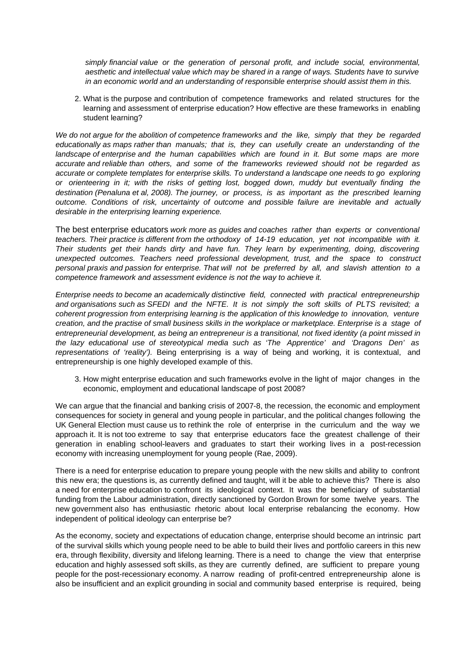simply financial value or the generation of personal profit, and include social, environmental, aesthetic and intellectual value which may be shared in a range of ways. Students have to survive in an economic world and an understanding of responsible enterprise should assist them in this.

2. What is the purpose and contribution of competence frameworks and related structures for the learning and assessment of enterprise education? How effective are these frameworks in enabling student learning?

We do not argue for the abolition of competence frameworks and the like, simply that they be regarded educationally as maps rather than manuals; that is, they can usefully create an understanding of the landscape of enterprise and the human capabilities which are found in it. But some maps are more accurate and reliable than others, and some of the frameworks reviewed should not be regarded as accurate or complete templates for enterprise skills. To understand a landscape one needs to go exploring or orienteering in it; with the risks of getting lost, bogged down, muddy but eventually finding the destination (Penaluna et al, 2008). The journey, or process, is as important as the prescribed learning outcome. Conditions of risk, uncertainty of outcome and possible failure are inevitable and actually desirable in the enterprising learning experience.

The best enterprise educators work more as guides and coaches rather than experts or conventional teachers. Their practice is different from the orthodoxy of 14-19 education, yet not incompatible with it. Their students get their hands dirty and have fun. They learn by experimenting, doing, discovering unexpected outcomes. Teachers need professional development, trust, and the space to construct personal praxis and passion for enterprise. That will not be preferred by all, and slavish attention to a competence framework and assessment evidence is not the way to achieve it.

Enterprise needs to become an academically distinctive field, connected with practical entrepreneurship and organisations such as SFEDI and the NFTE. It is not simply the soft skills of PLTS revisited; a coherent progression from enterprising learning is the application of this knowledge to innovation, venture creation, and the practise of small business skills in the workplace or marketplace. Enterprise is a stage of entrepreneurial development, as being an entrepreneur is a transitional, not fixed identity (a point missed in the lazy educational use of stereotypical media such as 'The Apprentice' and 'Dragons Den' as representations of 'reality'). Being enterprising is a way of being and working, it is contextual, and entrepreneurship is one highly developed example of this.

3. How might enterprise education and such frameworks evolve in the light of major changes in the economic, employment and educational landscape of post 2008?

We can argue that the financial and banking crisis of 2007-8, the recession, the economic and employment consequences for society in general and young people in particular, and the political changes following the UK General Election must cause us to rethink the role of enterprise in the curriculum and the way we approach it. It is not too extreme to say that enterprise educators face the greatest challenge of their generation in enabling school-leavers and graduates to start their working lives in a post-recession economy with increasing unemployment for young people (Rae, 2009).

There is a need for enterprise education to prepare young people with the new skills and ability to confront this new era; the questions is, as currently defined and taught, will it be able to achieve this? There is also a need for enterprise education to confront its ideological context. It was the beneficiary of substantial funding from the Labour administration, directly sanctioned by Gordon Brown for some twelve years. The new government also has enthusiastic rhetoric about local enterprise rebalancing the economy. How independent of political ideology can enterprise be?

As the economy, society and expectations of education change, enterprise should become an intrinsic part of the survival skills which young people need to be able to build their lives and portfolio careers in this new era, through flexibility, diversity and lifelong learning. There is a need to change the view that enterprise education and highly assessed soft skills, as they are currently defined, are sufficient to prepare young people for the post-recessionary economy. A narrow reading of profit-centred entrepreneurship alone is also be insufficient and an explicit grounding in social and community based enterprise is required, being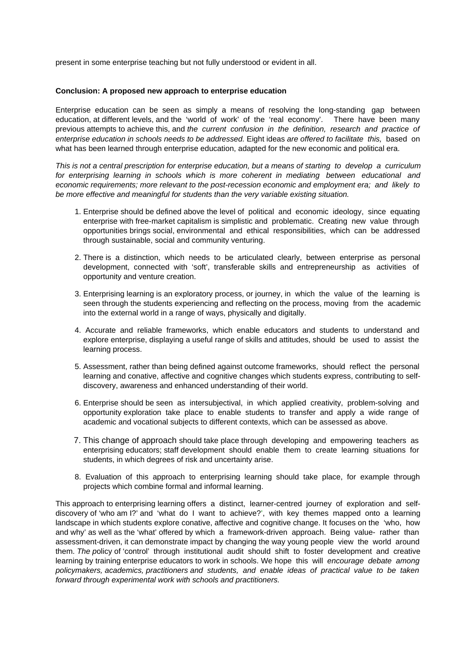present in some enterprise teaching but not fully understood or evident in all.

#### **Conclusion: A proposed new approach to enterprise education**

Enterprise education can be seen as simply a means of resolving the long-standing gap between education, at different levels, and the 'world of work' of the 'real economy'. There have been many previous attempts to achieve this, and the current confusion in the definition, research and practice of enterprise education in schools needs to be addressed. Eight ideas are offered to facilitate this, based on what has been learned through enterprise education, adapted for the new economic and political era.

This is not a central prescription for enterprise education, but a means of starting to develop a curriculum for enterprising learning in schools which is more coherent in mediating between educational and economic requirements; more relevant to the post-recession economic and employment era; and likely to be more effective and meaningful for students than the very variable existing situation.

- 1. Enterprise should be defined above the level of political and economic ideology, since equating enterprise with free-market capitalism is simplistic and problematic. Creating new value through opportunities brings social, environmental and ethical responsibilities, which can be addressed through sustainable, social and community venturing.
- 2. There is a distinction, which needs to be articulated clearly, between enterprise as personal development, connected with 'soft', transferable skills and entrepreneurship as activities of opportunity and venture creation.
- 3. Enterprising learning is an exploratory process, or journey, in which the value of the learning is seen through the students experiencing and reflecting on the process, moving from the academic into the external world in a range of ways, physically and digitally.
- 4. Accurate and reliable frameworks, which enable educators and students to understand and explore enterprise, displaying a useful range of skills and attitudes, should be used to assist the learning process.
- 5. Assessment, rather than being defined against outcome frameworks, should reflect the personal learning and conative, affective and cognitive changes which students express, contributing to selfdiscovery, awareness and enhanced understanding of their world.
- 6. Enterprise should be seen as intersubjectival, in which applied creativity, problem-solving and opportunity exploration take place to enable students to transfer and apply a wide range of academic and vocational subjects to different contexts, which can be assessed as above.
- 7. This change of approach should take place through developing and empowering teachers as enterprising educators; staff development should enable them to create learning situations for students, in which degrees of risk and uncertainty arise.
- 8. Evaluation of this approach to enterprising learning should take place, for example through projects which combine formal and informal learning.

This approach to enterprising learning offers a distinct, learner-centred journey of exploration and selfdiscovery of 'who am I?' and 'what do I want to achieve?', with key themes mapped onto a learning landscape in which students explore conative, affective and cognitive change. It focuses on the 'who, how and why' as well as the 'what' offered by which a framework-driven approach. Being value- rather than assessment-driven, it can demonstrate impact by changing the way young people view the world around them. The policy of 'control' through institutional audit should shift to foster development and creative learning by training enterprise educators to work in schools. We hope this will encourage debate among policymakers, academics, practitioners and students, and enable ideas of practical value to be taken forward through experimental work with schools and practitioners.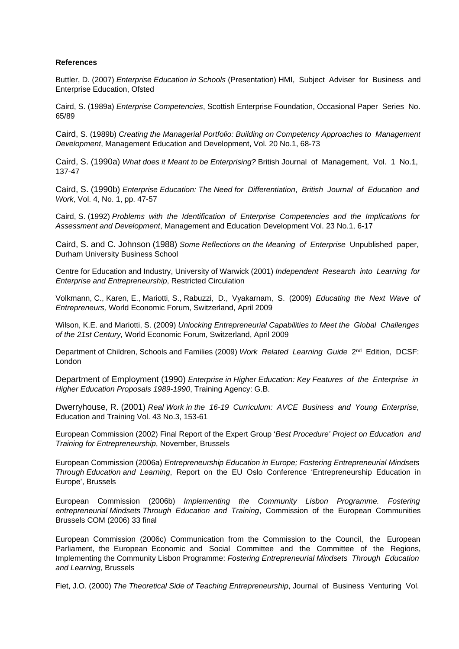#### **References**

Buttler, D. (2007) Enterprise Education in Schools (Presentation) HMI, Subject Adviser for Business and Enterprise Education, Ofsted

Caird, S. (1989a) Enterprise Competencies, Scottish Enterprise Foundation, Occasional Paper Series No. 65/89

Caird, S. (1989b) Creating the Managerial Portfolio: Building on Competency Approaches to Management Development, Management Education and Development, Vol. 20 No.1, 68-73

Caird, S. (1990a) What does it Meant to be Enterprising? British Journal of Management, Vol. 1 No.1, 137-47

Caird, S. (1990b) Enterprise Education: The Need for Differentiation, British Journal of Education and Work, Vol. 4, No. 1, pp. 47-57

Caird, S. (1992) Problems with the Identification of Enterprise Competencies and the Implications for Assessment and Development, Management and Education Development Vol. 23 No.1, 6-17

Caird, S. and C. Johnson (1988) Some Reflections on the Meaning of Enterprise Unpublished paper, Durham University Business School

Centre for Education and Industry, University of Warwick (2001) Independent Research into Learning for Enterprise and Entrepreneurship, Restricted Circulation

Volkmann, C., Karen, E., Mariotti, S., Rabuzzi, D., Vyakarnam, S. (2009) Educating the Next Wave of Entrepreneurs, World Economic Forum, Switzerland, April 2009

Wilson, K.E. and Mariotti, S. (2009) Unlocking Entrepreneurial Capabilities to Meet the Global Challenges of the 21st Century, World Economic Forum, Switzerland, April 2009

Department of Children, Schools and Families (2009) Work Related Learning Guide 2<sup>nd</sup> Edition, DCSF: London

Department of Employment (1990) Enterprise in Higher Education: Key Features of the Enterprise in Higher Education Proposals 1989-1990, Training Agency: G.B.

Dwerryhouse, R. (2001) Real Work in the 16-19 Curriculum: AVCE Business and Young Enterprise, Education and Training Vol. 43 No.3, 153-61

European Commission (2002) Final Report of the Expert Group 'Best Procedure' Project on Education and Training for Entrepreneurship, November, Brussels

European Commission (2006a) Entrepreneurship Education in Europe; Fostering Entrepreneurial Mindsets Through Education and Learning, Report on the EU Oslo Conference 'Entrepreneurship Education in Europe', Brussels

European Commission (2006b) Implementing the Community Lisbon Programme. Fostering entrepreneurial Mindsets Through Education and Training, Commission of the European Communities Brussels COM (2006) 33 final

European Commission (2006c) Communication from the Commission to the Council, the European Parliament, the European Economic and Social Committee and the Committee of the Regions, Implementing the Community Lisbon Programme: Fostering Entrepreneurial Mindsets Through Education and Learning, Brussels

Fiet, J.O. (2000) The Theoretical Side of Teaching Entrepreneurship, Journal of Business Venturing Vol.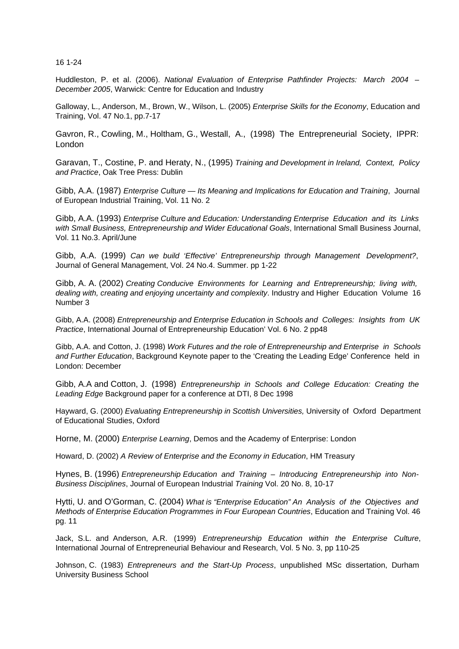16 1-24

Huddleston, P. et al. (2006). National Evaluation of Enterprise Pathfinder Projects: March 2004 -December 2005, Warwick: Centre for Education and Industry

Galloway, L., Anderson, M., Brown, W., Wilson, L. (2005) Enterprise Skills for the Economy, Education and Training, Vol. 47 No.1, pp.7-17

Gavron, R., Cowling, M., Holtham, G., Westall, A., (1998) The Entrepreneurial Society, IPPR: London

Garavan, T., Costine, P. and Heraty, N., (1995) Training and Development in Ireland, Context, Policy and Practice, Oak Tree Press: Dublin

Gibb, A.A. (1987) Enterprise Culture — Its Meaning and Implications for Education and Training, Journal of European Industrial Training, Vol. 11 No. 2

Gibb, A.A. (1993) Enterprise Culture and Education: Understanding Enterprise Education and its Links with Small Business, Entrepreneurship and Wider Educational Goals, International Small Business Journal, Vol. 11 No.3. April/June

Gibb, A.A. (1999) Can we build 'Effective' Entrepreneurship through Management Development?, Journal of General Management, Vol. 24 No.4. Summer. pp 1-22

Gibb, A. A. (2002) Creating Conducive Environments for Learning and Entrepreneurship; living with, dealing with, creating and enjoying uncertainty and complexity. Industry and Higher Education Volume 16 Number 3

Gibb, A.A. (2008) Entrepreneurship and Enterprise Education in Schools and Colleges: Insights from UK Practice, International Journal of Entrepreneurship Education' Vol. 6 No. 2 pp48

Gibb, A.A. and Cotton, J. (1998) Work Futures and the role of Entrepreneurship and Enterprise in Schools and Further Education, Background Keynote paper to the 'Creating the Leading Edge' Conference held in London: December

Gibb, A.A and Cotton, J. (1998) Entrepreneurship in Schools and College Education: Creating the Leading Edge Background paper for a conference at DTI, 8 Dec 1998

Hayward, G. (2000) Evaluating Entrepreneurship in Scottish Universities, University of Oxford Department of Educational Studies, Oxford

Horne, M. (2000) Enterprise Learning, Demos and the Academy of Enterprise: London

Howard, D. (2002) A Review of Enterprise and the Economy in Education, HM Treasury

Hynes, B. (1996) Entrepreneurship Education and Training – Introducing Entrepreneurship into Non-Business Disciplines, Journal of European Industrial Training Vol. 20 No. 8, 10-17

Hytti, U. and O'Gorman, C. (2004) What is "Enterprise Education" An Analysis of the Objectives and Methods of Enterprise Education Programmes in Four European Countries, Education and Training Vol. 46 pg. 11

Jack, S.L. and Anderson, A.R. (1999) Entrepreneurship Education within the Enterprise Culture, International Journal of Entrepreneurial Behaviour and Research, Vol. 5 No. 3, pp 110-25

Johnson, C. (1983) Entrepreneurs and the Start-Up Process, unpublished MSc dissertation, Durham University Business School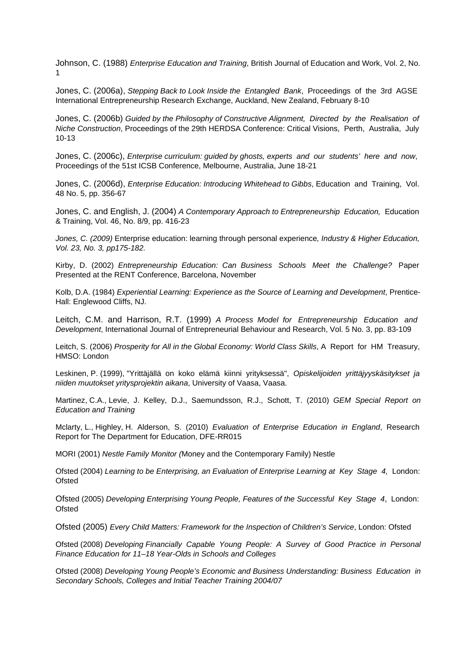Johnson, C. (1988) Enterprise Education and Training, British Journal of Education and Work, Vol. 2, No. 1

Jones, C. (2006a), Stepping Back to Look Inside the Entangled Bank, Proceedings of the 3rd AGSE International Entrepreneurship Research Exchange, Auckland, New Zealand, February 8-10

Jones, C. (2006b) Guided by the Philosophy of Constructive Alignment, Directed by the Realisation of Niche Construction, Proceedings of the 29th HERDSA Conference: Critical Visions, Perth, Australia, July 10-13

Jones, C. (2006c), Enterprise curriculum: guided by ghosts, experts and our students' here and now, Proceedings of the 51st ICSB Conference, Melbourne, Australia, June 18-21

Jones, C. (2006d), Enterprise Education: Introducing Whitehead to Gibbs, Education and Training, Vol. 48 No. 5, pp. 356-67

Jones, C. and English, J. (2004) A Contemporary Approach to Entrepreneurship Education, Education & Training, Vol. 46, No. 8/9, pp. 416-23

Jones, C. (2009) Enterprise education: learning through personal experience, Industry & Higher Education, Vol. 23, No. 3, pp175-182.

Kirby, D. (2002) Entrepreneurship Education: Can Business Schools Meet the Challenge? Paper Presented at the RENT Conference, Barcelona, November

Kolb, D.A. (1984) Experiential Learning: Experience as the Source of Learning and Development, Prentice-Hall: Englewood Cliffs, NJ.

Leitch, C.M. and Harrison, R.T. (1999) A Process Model for Entrepreneurship Education and Development, International Journal of Entrepreneurial Behaviour and Research, Vol. 5 No. 3, pp. 83-109

Leitch, S. (2006) Prosperity for All in the Global Economy: World Class Skills, A Report for HM Treasury, HMSO: London

Leskinen, P. (1999), "Yrittäjällä on koko elämä kiinni yrityksessä", Opiskelijoiden yrittäjyyskäsitykset ja niiden muutokset yritysprojektin aikana, University of Vaasa, Vaasa.

Martinez, C.A., Levie, J. Kelley, D.J., Saemundsson, R.J., Schott, T. (2010) GEM Special Report on Education and Training

Mclarty, L., Highley, H. Alderson, S. (2010) Evaluation of Enterprise Education in England, Research Report for The Department for Education, DFE-RR015

MORI (2001) Nestle Family Monitor (Money and the Contemporary Family) Nestle

Ofsted (2004) Learning to be Enterprising, an Evaluation of Enterprise Learning at Key Stage 4, London: **Ofsted** 

Ofsted (2005) Developing Enterprising Young People, Features of the Successful Key Stage 4, London: **Ofsted** 

Ofsted (2005) Every Child Matters: Framework for the Inspection of Children's Service, London: Ofsted

Ofsted (2008) Developing Financially Capable Young People: A Survey of Good Practice in Personal Finance Education for 11–18 Year-Olds in Schools and Colleges

Ofsted (2008) Developing Young People's Economic and Business Understanding: Business Education in Secondary Schools, Colleges and Initial Teacher Training 2004/07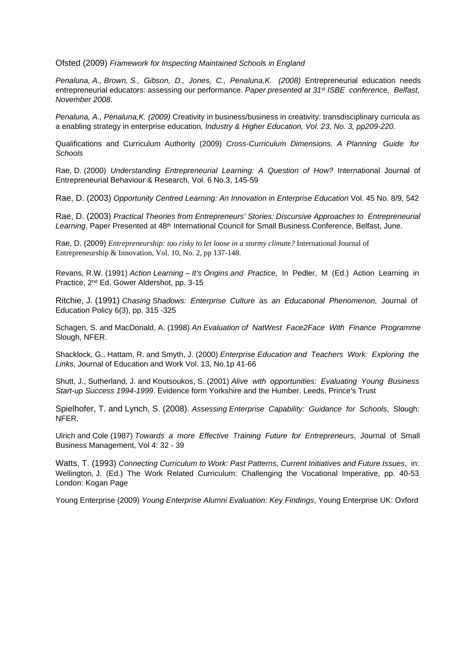Ofsted (2009) Framework for Inspecting Maintained Schools in England

Penaluna, A., Brown, S., Gibson, D., Jones, C., Penaluna, K. (2008) Entrepreneurial education needs entrepreneurial educators: assessing our performance. Paper presented at 31<sup>st</sup> ISBE conference, Belfast, November 2008.

Penaluna, A., Penaluna,K. (2009) Creativity in business/business in creativity: transdisciplinary curricula as a enabling strategy in enterprise education, Industry & Higher Education, Vol. 23, No. 3, pp209-220.

Qualifications and Curriculum Authority (2009) Cross-Curriculum Dimensions. A Planning Guide for **Schools** 

Rae, D. (2000) Understanding Entrepreneurial Learning: A Question of How? International Journal of Entrepreneurial Behaviour & Research, Vol. 6 No.3, 145-59

Rae, D. (2003) Opportunity Centred Learning: An Innovation in Enterprise Education Vol. 45 No. 8/9, 542

Rae, D. (2003) Practical Theories from Entrepreneurs' Stories: Discursive Approaches to Entrepreneurial Learning, Paper Presented at 48<sup>th</sup> International Council for Small Business Conference, Belfast, June.

Rae, D. (2009) *Entrepreneurship: too risky to let loose in a stormy climate?* International Journal of Entrepreneurship & Innovation, Vol. 10, No. 2, pp 137-148.

Revans, R.W. (1991) Action Learning – It's Origins and Practice, In Pedler, M (Ed.) Action Learning in Practice, 2nd Ed, Gower Aldershot, pp. 3-15

Ritchie, J. (1991) Chasing Shadows: Enterprise Culture as an Educational Phenomenon, Journal of Education Policy 6(3), pp. 315 -325

Schagen, S. and MacDonald, A. (1998) An Evaluation of NatWest Face2Face With Finance Programme Slough, NFER.

Shacklock, G., Hattam, R. and Smyth, J. (2000) Enterprise Education and Teachers Work: Exploring the Links, Journal of Education and Work Vol. 13, No.1p 41-66

Shutt, J., Sutherland, J. and Koutsoukos, S. (2001) Alive with opportunities: Evaluating Young Business Start-up Success 1994-1999. Evidence form Yorkshire and the Humber. Leeds, Prince's Trust

Spielhofer, T. and Lynch, S. (2008). Assessing Enterprise Capability: Guidance for Schools, Slough: NFER.

Ulrich and Cole (1987) Towards a more Effective Training Future for Entrepreneurs, Journal of Small Business Management, Vol 4: 32 - 39

Watts, T. (1993) Connecting Curriculum to Work: Past Patterns, Current Initiatives and Future Issues, in: Wellington, J. (Ed.) The Work Related Curriculum: Challenging the Vocational Imperative, pp. 40-53 London: Kogan Page

Young Enterprise (2009) Young Enterprise Alumni Evaluation: Key Findings, Young Enterprise UK: Oxford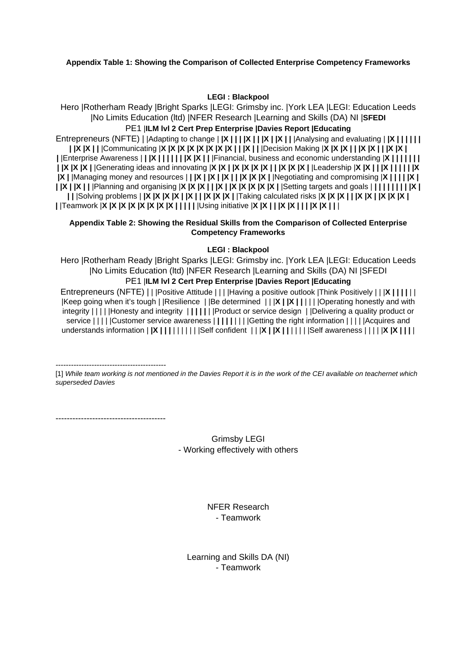## **Appendix Table 1: Showing the Comparison of Collected Enterprise Competency Frameworks**

### **LEGI : Blackpool**

Hero |Rotherham Ready |Bright Sparks |LEGI: Grimsby inc. |York LEA |LEGI: Education Leeds |No Limits Education (ltd) |NFER Research |Learning and Skills (DA) NI |**SFEDI** PE1 |**ILM lvl 2 Cert Prep Enterprise |Davies Report |Educating**

Entrepreneurs (NFTE) | |Adapting to change | **|X | | | |X | | |X | |X | |** |Analysing and evaluating | **|X | | | | | | | |X |X | |** |Communicating |**X |X |X |X |X |X |X |X | | |X | |** |Decision Making |**X |X |X | | |X |X | | |X |X | |** |Enterprise Awareness | **| |X | | | | | | |X |X | |** |Financial, business and economic understanding |**X | | | | | | | | |X |X |X |** |Generating ideas and innovating |**X |X | |X |X |X |X | | |X |X |X |** |Leadership |**X |X | | |X | | | | | |X |X |** |Managing money and resources | **| |X | |X | |X | | |X |X |X |** |Negotiating and compromising |**X | | | | |X | | |X | |X | |** |Planning and organising |**X |X |X | | |X | |X |X |X |X |X |** |Setting targets and goals | **| | | | | | | | |X | | |** |Solving problems | **|X |X |X |X | |X | | |X |X |X |** |Taking calculated risks |**X |X |X | | |X |X | |X |X |X | |** |Teamwork |**X |X |X |X |X |X |X |X | | | | |** |Using initiative |**X |X | | |X |X | | | |X |X | |** |

### **Appendix Table 2: Showing the Residual Skills from the Comparison of Collected Enterprise Competency Frameworks**

### **LEGI : Blackpool**

Hero |Rotherham Ready |Bright Sparks |LEGI: Grimsby inc. |York LEA |LEGI: Education Leeds |No Limits Education (ltd) |NFER Research |Learning and Skills (DA) NI |SFEDI

# PE1 |**ILM lvl 2 Cert Prep Enterprise |Davies Report |Educating**

Entrepreneurs (NFTE) | | |Positive Attitude | | | |Having a positive outlook |Think Positively | | |**X | | | |** | | |Keep going when it's tough | |Resilience | |Be determined | | |**X | |X | |** | | | |Operating honestly and with integrity | | | | |Honesty and integrity | **| | | |** | |Product or service design | |Delivering a quality product or service | | | | |Customer service awareness | **| | | |** | | | |Getting the right information | | | | |Acquires and understands information | **|X | | |** | | | | | | |Self confident | | |**X | |X | |** | | | | |Self awareness | | | | |**X |X | | |** |

------------------------------------------- [1] While team working is not mentioned in the Davies Report it is in the work of the CEI available on teachernet which superseded Davies

---------------------------------------

Grimsby LEGI - Working effectively with others

> NFER Research - Teamwork

Learning and Skills DA (NI) - Teamwork